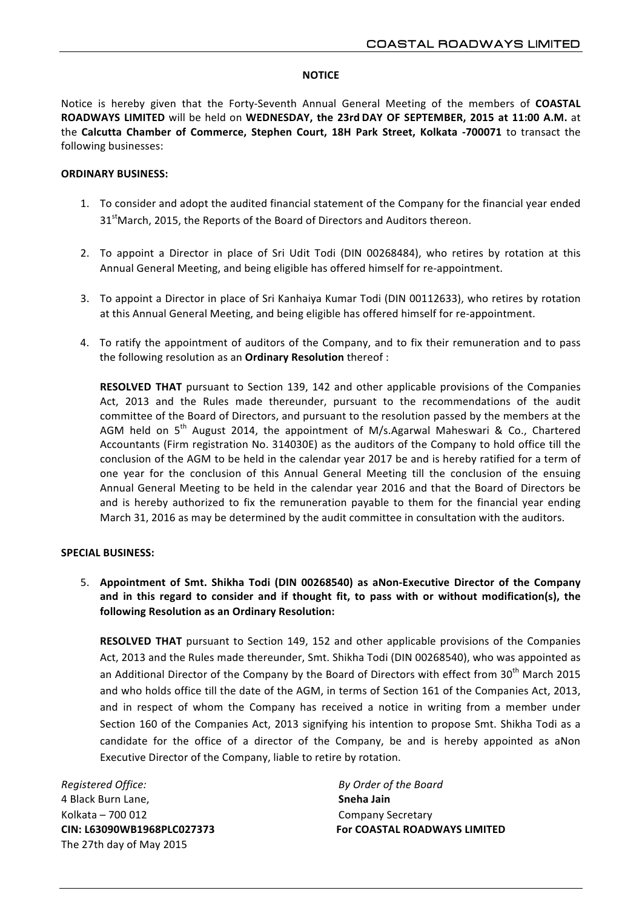# **NOTICE**

Notice is hereby given that the Forty-Seventh Annual General Meeting of the members of **COASTAL ROADWAYS LIMITED** will be held on **WEDNESDAY, the 23rd DAY OF SEPTEMBER, 2015 at 11:00 A.M.** at the Calcutta Chamber of Commerce, Stephen Court, 18H Park Street, Kolkata -700071 to transact the following businesses:

# **ORDINARY BUSINESS:**

- 1. To consider and adopt the audited financial statement of the Company for the financial year ended 31<sup>st</sup>March, 2015, the Reports of the Board of Directors and Auditors thereon.
- 2. To appoint a Director in place of Sri Udit Todi (DIN 00268484), who retires by rotation at this Annual General Meeting, and being eligible has offered himself for re-appointment.
- 3. To appoint a Director in place of Sri Kanhaiya Kumar Todi (DIN 00112633), who retires by rotation at this Annual General Meeting, and being eligible has offered himself for re-appointment.
- 4. To ratify the appointment of auditors of the Company, and to fix their remuneration and to pass the following resolution as an **Ordinary Resolution** thereof :

**RESOLVED THAT** pursuant to Section 139, 142 and other applicable provisions of the Companies Act, 2013 and the Rules made thereunder, pursuant to the recommendations of the audit committee of the Board of Directors, and pursuant to the resolution passed by the members at the AGM held on  $5<sup>th</sup>$  August 2014, the appointment of M/s.Agarwal Maheswari & Co., Chartered Accountants (Firm registration No. 314030E) as the auditors of the Company to hold office till the conclusion of the AGM to be held in the calendar year 2017 be and is hereby ratified for a term of one year for the conclusion of this Annual General Meeting till the conclusion of the ensuing Annual General Meeting to be held in the calendar year 2016 and that the Board of Directors be and is hereby authorized to fix the remuneration payable to them for the financial year ending March 31, 2016 as may be determined by the audit committee in consultation with the auditors.

# **SPECIAL BUSINESS:**

5. Appointment of Smt. Shikha Todi (DIN 00268540) as aNon-Executive Director of the Company and in this regard to consider and if thought fit, to pass with or without modification(s), the **following Resolution as an Ordinary Resolution:** 

**RESOLVED THAT** pursuant to Section 149, 152 and other applicable provisions of the Companies Act, 2013 and the Rules made thereunder, Smt. Shikha Todi (DIN 00268540), who was appointed as an Additional Director of the Company by the Board of Directors with effect from  $30<sup>th</sup>$  March 2015 and who holds office till the date of the AGM, in terms of Section 161 of the Companies Act, 2013, and in respect of whom the Company has received a notice in writing from a member under Section 160 of the Companies Act, 2013 signifying his intention to propose Smt. Shikha Todi as a candidate for the office of a director of the Company, be and is hereby appointed as aNon Executive Director of the Company, liable to retire by rotation.

**Registered Office: By Order of the Board** 4 Black Burn Lane, **Sneha Jain** Kolkata – 700 012 Company Secretary The 27th day of May 2015

**CIN: L63090WB1968PLC027373 For COASTAL ROADWAYS LIMITED**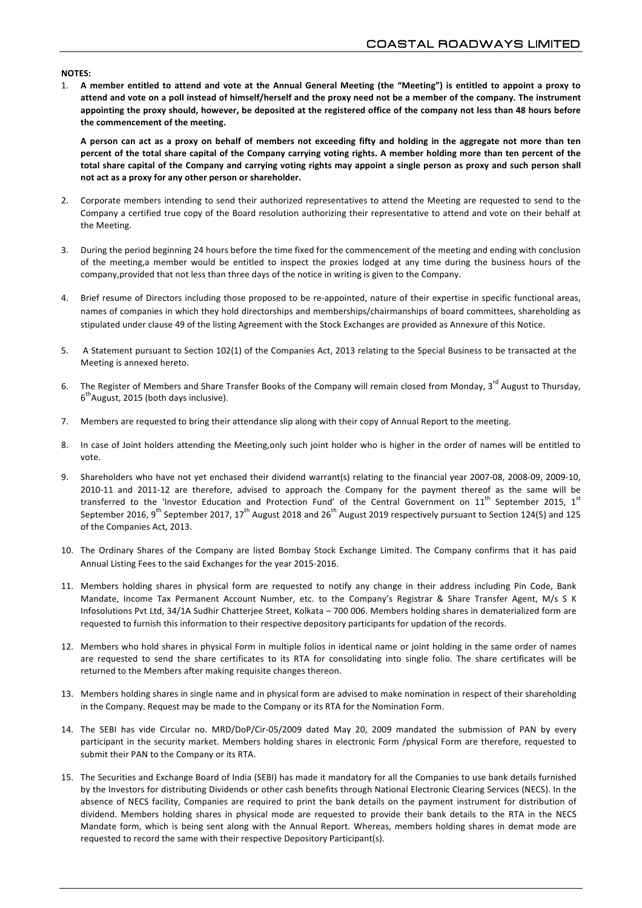## **NOTES:**

1. A member entitled to attend and vote at the Annual General Meeting (the "Meeting") is entitled to appoint a proxy to attend and vote on a poll instead of himself/herself and the proxy need not be a member of the company. The instrument appointing the proxy should, however, be deposited at the registered office of the company not less than 48 hours before the commencement of the meeting.

A person can act as a proxy on behalf of members not exceeding fifty and holding in the aggregate not more than ten percent of the total share capital of the Company carrying voting rights. A member holding more than ten percent of the total share capital of the Company and carrying voting rights may appoint a single person as proxy and such person shall not act as a proxy for any other person or shareholder.

- 2. Corporate members intending to send their authorized representatives to attend the Meeting are requested to send to the Company a certified true copy of the Board resolution authorizing their representative to attend and vote on their behalf at the Meeting.
- 3. During the period beginning 24 hours before the time fixed for the commencement of the meeting and ending with conclusion of the meeting,a member would be entitled to inspect the proxies lodged at any time during the business hours of the company, provided that not less than three days of the notice in writing is given to the Company.
- 4. Brief resume of Directors including those proposed to be re-appointed, nature of their expertise in specific functional areas, names of companies in which they hold directorships and memberships/chairmanships of board committees, shareholding as stipulated under clause 49 of the listing Agreement with the Stock Exchanges are provided as Annexure of this Notice.
- 5. A Statement pursuant to Section 102(1) of the Companies Act, 2013 relating to the Special Business to be transacted at the Meeting is annexed hereto.
- 6. The Register of Members and Share Transfer Books of the Company will remain closed from Monday, 3<sup>rd</sup> August to Thursday,  $6<sup>tn</sup>$ August, 2015 (both days inclusive).
- 7. Members are requested to bring their attendance slip along with their copy of Annual Report to the meeting.
- 8. In case of Joint holders attending the Meeting,only such joint holder who is higher in the order of names will be entitled to vote.
- 9. Shareholders who have not yet enchased their dividend warrant(s) relating to the financial year 2007-08, 2008-09, 2009-10, 2010-11 and 2011-12 are therefore, advised to approach the Company for the payment thereof as the same will be transferred to the 'Investor Education and Protection Fund' of the Central Government on  $11<sup>th</sup>$  September 2015,  $1<sup>st</sup>$ September 2016, 9<sup>th</sup> September 2017, 17<sup>th</sup> August 2018 and 26<sup>th</sup> August 2019 respectively pursuant to Section 124(5) and 125 of the Companies Act, 2013.
- 10. The Ordinary Shares of the Company are listed Bombay Stock Exchange Limited. The Company confirms that it has paid Annual Listing Fees to the said Exchanges for the year 2015-2016.
- 11. Members holding shares in physical form are requested to notify any change in their address including Pin Code, Bank Mandate, Income Tax Permanent Account Number, etc. to the Company's Registrar & Share Transfer Agent, M/s S K Infosolutions Pvt Ltd, 34/1A Sudhir Chatterjee Street, Kolkata – 700 006. Members holding shares in dematerialized form are requested to furnish this information to their respective depository participants for updation of the records.
- 12. Members who hold shares in physical Form in multiple folios in identical name or joint holding in the same order of names are requested to send the share certificates to its RTA for consolidating into single folio. The share certificates will be returned to the Members after making requisite changes thereon.
- 13. Members holding shares in single name and in physical form are advised to make nomination in respect of their shareholding in the Company. Request may be made to the Company or its RTA for the Nomination Form.
- 14. The SEBI has vide Circular no. MRD/DoP/Cir-05/2009 dated May 20, 2009 mandated the submission of PAN by every participant in the security market. Members holding shares in electronic Form /physical Form are therefore, requested to submit their PAN to the Company or its RTA.
- 15. The Securities and Exchange Board of India (SEBI) has made it mandatory for all the Companies to use bank details furnished by the Investors for distributing Dividends or other cash benefits through National Electronic Clearing Services (NECS). In the absence of NECS facility, Companies are required to print the bank details on the payment instrument for distribution of dividend. Members holding shares in physical mode are requested to provide their bank details to the RTA in the NECS Mandate form, which is being sent along with the Annual Report. Whereas, members holding shares in demat mode are requested to record the same with their respective Depository Participant(s).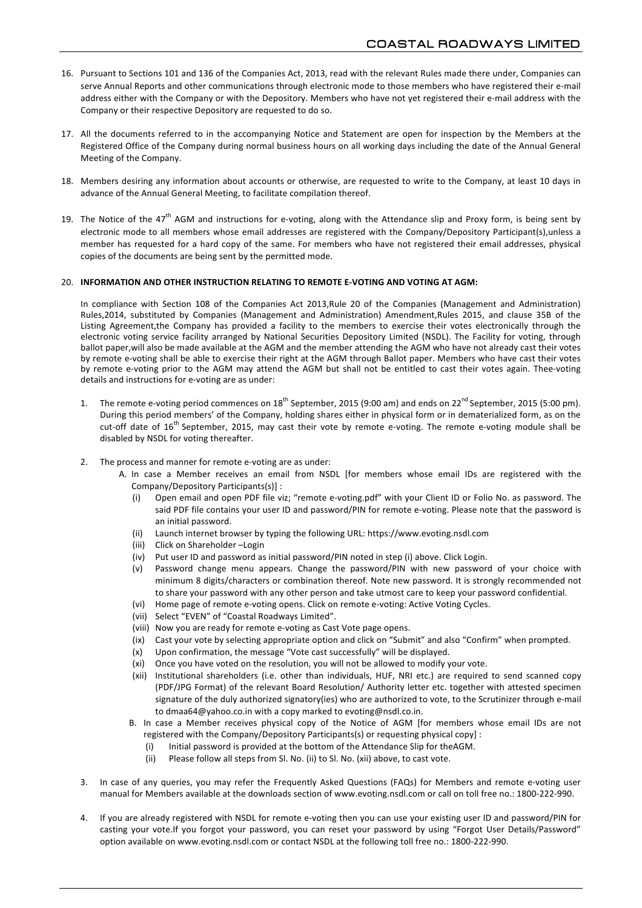- 16. Pursuant to Sections 101 and 136 of the Companies Act, 2013, read with the relevant Rules made there under, Companies can serve Annual Reports and other communications through electronic mode to those members who have registered their e-mail address either with the Company or with the Depository. Members who have not yet registered their e-mail address with the Company or their respective Depository are requested to do so.
- 17. All the documents referred to in the accompanying Notice and Statement are open for inspection by the Members at the Registered Office of the Company during normal business hours on all working days including the date of the Annual General Meeting of the Company.
- 18. Members desiring any information about accounts or otherwise, are requested to write to the Company, at least 10 days in advance of the Annual General Meeting, to facilitate compilation thereof.
- 19. The Notice of the  $47<sup>th</sup>$  AGM and instructions for e-voting, along with the Attendance slip and Proxy form, is being sent by electronic mode to all members whose email addresses are registered with the Company/Depository Participant(s),unless a member has requested for a hard copy of the same. For members who have not registered their email addresses, physical copies of the documents are being sent by the permitted mode.

## 20. **INFORMATION AND OTHER INSTRUCTION RELATING TO REMOTE E-VOTING AND VOTING AT AGM:**

In compliance with Section 108 of the Companies Act 2013,Rule 20 of the Companies (Management and Administration) Rules, 2014, substituted by Companies (Management and Administration) Amendment, Rules 2015, and clause 35B of the Listing Agreement,the Company has provided a facility to the members to exercise their votes electronically through the electronic voting service facility arranged by National Securities Depository Limited (NSDL). The Facility for voting, through ballot paper, will also be made available at the AGM and the member attending the AGM who have not already cast their votes by remote e-voting shall be able to exercise their right at the AGM through Ballot paper. Members who have cast their votes by remote e-voting prior to the AGM may attend the AGM but shall not be entitled to cast their votes again. Thee-voting details and instructions for e-voting are as under:

- 1. The remote e-voting period commences on  $18^{th}$  September, 2015 (9:00 am) and ends on 22<sup>nd</sup> September, 2015 (5:00 pm). During this period members' of the Company, holding shares either in physical form or in dematerialized form, as on the cut-off date of  $16^{th}$  September, 2015, may cast their vote by remote e-voting. The remote e-voting module shall be disabled by NSDL for voting thereafter.
- 2. The process and manner for remote e-voting are as under:
	- A. In case a Member receives an email from NSDL [for members whose email IDs are registered with the Company/Depository Participants(s)] :
		- (i) Open email and open PDF file viz; "remote e-voting.pdf" with your Client ID or Folio No. as password. The said PDF file contains your user ID and password/PIN for remote e-voting. Please note that the password is an initial password.
		- (ii) Launch internet browser by typing the following URL: https://www.evoting.nsdl.com
		- (iii) Click on Shareholder -Login
		- (iv) Put user ID and password as initial password/PIN noted in step (i) above. Click Login.
		- (v) Password change menu appears. Change the password/PIN with new password of your choice with minimum 8 digits/characters or combination thereof. Note new password. It is strongly recommended not to share your password with any other person and take utmost care to keep your password confidential.
		- (vi) Home page of remote e-voting opens. Click on remote e-voting: Active Voting Cycles.
		- (vii) Select "EVEN" of "Coastal Roadways Limited".
		- (viii) Now you are ready for remote e-voting as Cast Vote page opens.
		- (ix) Cast your vote by selecting appropriate option and click on "Submit" and also "Confirm" when prompted.
		- (x) Upon confirmation, the message "Vote cast successfully" will be displayed.
		- (xi) Once you have voted on the resolution, you will not be allowed to modify your vote.
		- (xii) Institutional shareholders (i.e. other than individuals, HUF, NRI etc.) are required to send scanned copy (PDF/JPG Format) of the relevant Board Resolution/ Authority letter etc. together with attested specimen signature of the duly authorized signatory(ies) who are authorized to vote, to the Scrutinizer through e-mail to dmaa64@yahoo.co.in with a copy marked to evoting@nsdl.co.in.
		- B. In case a Member receives physical copy of the Notice of AGM [for members whose email IDs are not registered with the Company/Depository Participants(s) or requesting physical copy] :
			- (i) Initial password is provided at the bottom of the Attendance Slip for theAGM.
			- (ii) Please follow all steps from Sl. No. (ii) to Sl. No. (xii) above, to cast vote.
- 3. In case of any queries, you may refer the Frequently Asked Questions (FAQs) for Members and remote e-voting user manual for Members available at the downloads section of www.evoting.nsdl.com or call on toll free no.: 1800-222-990.
- 4. If you are already registered with NSDL for remote e-voting then you can use your existing user ID and password/PIN for casting your vote.If you forgot your password, you can reset your password by using "Forgot User Details/Password" option available on www.evoting.nsdl.com or contact NSDL at the following toll free no.: 1800-222-990.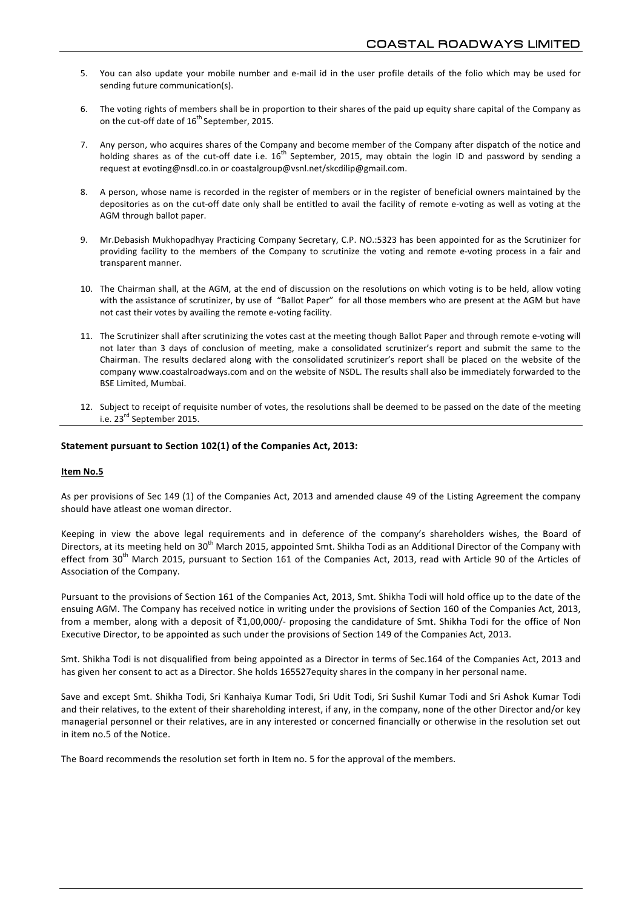- 5. You can also update your mobile number and e-mail id in the user profile details of the folio which may be used for sending future communication(s).
- 6. The voting rights of members shall be in proportion to their shares of the paid up equity share capital of the Company as on the cut-off date of  $16^{th}$  September, 2015.
- 7. Any person, who acquires shares of the Company and become member of the Company after dispatch of the notice and holding shares as of the cut-off date i.e.  $16<sup>th</sup>$  September, 2015, may obtain the login ID and password by sending a request at evoting@nsdl.co.in or coastalgroup@vsnl.net/skcdilip@gmail.com.
- 8. A person, whose name is recorded in the register of members or in the register of beneficial owners maintained by the depositories as on the cut-off date only shall be entitled to avail the facility of remote e-voting as well as voting at the AGM through ballot paper.
- 9. Mr.Debasish Mukhopadhyay Practicing Company Secretary, C.P. NO.:5323 has been appointed for as the Scrutinizer for providing facility to the members of the Company to scrutinize the voting and remote e-voting process in a fair and transparent manner.
- 10. The Chairman shall, at the AGM, at the end of discussion on the resolutions on which voting is to be held, allow voting with the assistance of scrutinizer, by use of "Ballot Paper" for all those members who are present at the AGM but have not cast their votes by availing the remote e-voting facility.
- 11. The Scrutinizer shall after scrutinizing the votes cast at the meeting though Ballot Paper and through remote e-voting will not later than 3 days of conclusion of meeting, make a consolidated scrutinizer's report and submit the same to the Chairman. The results declared along with the consolidated scrutinizer's report shall be placed on the website of the company www.coastalroadways.com and on the website of NSDL. The results shall also be immediately forwarded to the BSE Limited, Mumbai.
- 12. Subject to receipt of requisite number of votes, the resolutions shall be deemed to be passed on the date of the meeting i.e. 23<sup>rd</sup> September 2015.

## Statement pursuant to Section 102(1) of the Companies Act, 2013:

## **Item No.5**

As per provisions of Sec 149 (1) of the Companies Act, 2013 and amended clause 49 of the Listing Agreement the company should have atleast one woman director.

Keeping in view the above legal requirements and in deference of the company's shareholders wishes, the Board of Directors, at its meeting held on 30<sup>th</sup> March 2015, appointed Smt. Shikha Todi as an Additional Director of the Company with effect from  $30<sup>th</sup>$  March 2015, pursuant to Section 161 of the Companies Act, 2013, read with Article 90 of the Articles of Association of the Company.

Pursuant to the provisions of Section 161 of the Companies Act, 2013, Smt. Shikha Todi will hold office up to the date of the ensuing AGM. The Company has received notice in writing under the provisions of Section 160 of the Companies Act, 2013, from a member, along with a deposit of  $\bar{z}1,00,000/$ - proposing the candidature of Smt. Shikha Todi for the office of Non Executive Director, to be appointed as such under the provisions of Section 149 of the Companies Act, 2013.

Smt. Shikha Todi is not disqualified from being appointed as a Director in terms of Sec.164 of the Companies Act, 2013 and has given her consent to act as a Director. She holds 165527equity shares in the company in her personal name.

Save and except Smt. Shikha Todi, Sri Kanhaiya Kumar Todi, Sri Udit Todi, Sri Sushil Kumar Todi and Sri Ashok Kumar Todi and their relatives, to the extent of their shareholding interest, if any, in the company, none of the other Director and/or key managerial personnel or their relatives, are in any interested or concerned financially or otherwise in the resolution set out in item no.5 of the Notice.

The Board recommends the resolution set forth in Item no. 5 for the approval of the members.